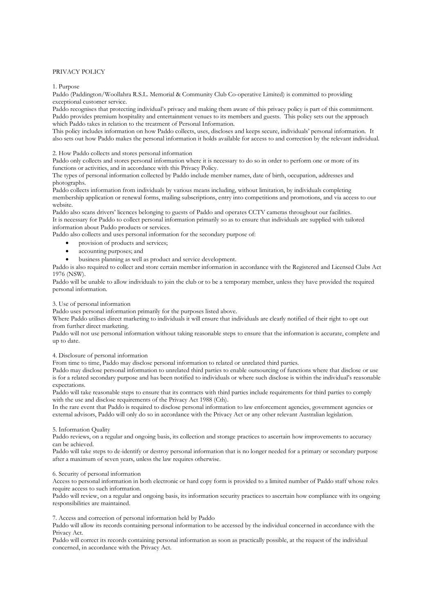# PRIVACY POLICY

1. Purpose

Paddo (Paddington/Woollahra R.S.L. Memorial & Community Club Co-operative Limited) is committed to providing exceptional customer service.

Paddo recognises that protecting individual's privacy and making them aware of this privacy policy is part of this commitment. Paddo provides premium hospitality and entertainment venues to its members and guests. This policy sets out the approach which Paddo takes in relation to the treatment of Personal Information.

This policy includes information on how Paddo collects, uses, discloses and keeps secure, individuals' personal information. It also sets out how Paddo makes the personal information it holds available for access to and correction by the relevant individual.

2. How Paddo collects and stores personal information

Paddo only collects and stores personal information where it is necessary to do so in order to perform one or more of its functions or activities, and in accordance with this Privacy Policy.

The types of personal information collected by Paddo include member names, date of birth, occupation, addresses and photographs.

Paddo collects information from individuals by various means including, without limitation, by individuals completing membership application or renewal forms, mailing subscriptions, entry into competitions and promotions, and via access to our website.

Paddo also scans drivers' licences belonging to guests of Paddo and operates CCTV cameras throughout our facilities. It is necessary for Paddo to collect personal information primarily so as to ensure that individuals are supplied with tailored information about Paddo products or services.

Paddo also collects and uses personal information for the secondary purpose of:

- provision of products and services;
- accounting purposes; and
- business planning as well as product and service development.

Paddo is also required to collect and store certain member information in accordance with the Registered and Licensed Clubs Act 1976 (NSW).

Paddo will be unable to allow individuals to join the club or to be a temporary member, unless they have provided the required personal information.

### 3. Use of personal information

Paddo uses personal information primarily for the purposes listed above.

Where Paddo utilises direct marketing to individuals it will ensure that individuals are clearly notified of their right to opt out from further direct marketing.

Paddo will not use personal information without taking reasonable steps to ensure that the information is accurate, complete and up to date.

4. Disclosure of personal information

From time to time, Paddo may disclose personal information to related or unrelated third parties.

Paddo may disclose personal information to unrelated third parties to enable outsourcing of functions where that disclose or use is for a related secondary purpose and has been notified to individuals or where such disclose is within the individual's reasonable expectations.

Paddo will take reasonable steps to ensure that its contracts with third parties include requirements for third parties to comply with the use and disclose requirements of the Privacy Act 1988 (Cth).

In the rare event that Paddo is required to disclose personal information to law enforcement agencies, government agencies or external advisors, Paddo will only do so in accordance with the Privacy Act or any other relevant Australian legislation.

## 5. Information Quality

Paddo reviews, on a regular and ongoing basis, its collection and storage practices to ascertain how improvements to accuracy can be achieved.

Paddo will take steps to de-identify or destroy personal information that is no longer needed for a primary or secondary purpose after a maximum of seven years, unless the law requires otherwise.

### 6. Security of personal information

Access to personal information in both electronic or hard copy form is provided to a limited number of Paddo staff whose roles require access to such information.

Paddo will review, on a regular and ongoing basis, its information security practices to ascertain how compliance with its ongoing responsibilities are maintained.

### 7. Access and correction of personal information held by Paddo

Paddo will allow its records containing personal information to be accessed by the individual concerned in accordance with the Privacy Act.

Paddo will correct its records containing personal information as soon as practically possible, at the request of the individual concerned, in accordance with the Privacy Act.